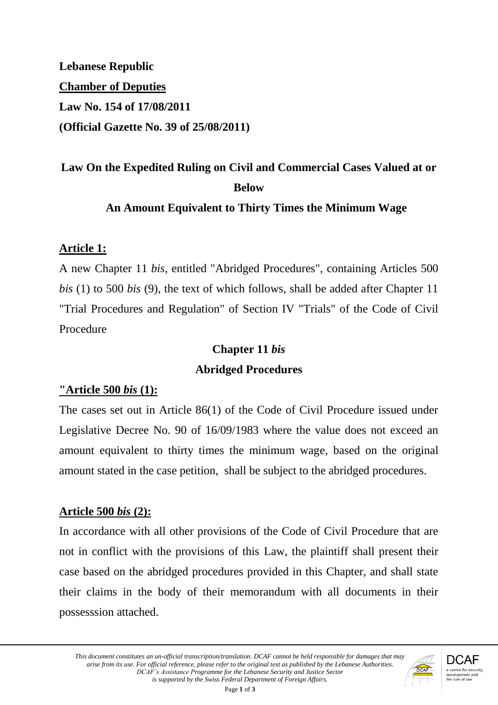**Lebanese Republic Chamber of Deputies Law No. 154 of 17/08/2011 (Official Gazette No. 39 of 25/08/2011)**

# **Law On the Expedited Ruling on Civil and Commercial Cases Valued at or Below**

#### **An Amount Equivalent to Thirty Times the Minimum Wage**

#### **Article 1:**

A new Chapter 11 *bis*, entitled "Abridged Procedures", containing Articles 500 *bis* (1) to 500 *bis* (9), the text of which follows, shall be added after Chapter 11 "Trial Procedures and Regulation" of Section IV "Trials" of the Code of Civil Procedure

# **Chapter 11** *bis*

#### **Abridged Procedures**

#### **"Article 500** *bis* **(1):**

The cases set out in Article 86(1) of the Code of Civil Procedure issued under Legislative Decree No. 90 of 16/09/1983 where the value does not exceed an amount equivalent to thirty times the minimum wage, based on the original amount stated in the case petition, shall be subject to the abridged procedures.

#### **Article 500** *bis* **(2):**

In accordance with all other provisions of the Code of Civil Procedure that are not in conflict with the provisions of this Law, the plaintiff shall present their case based on the abridged procedures provided in this Chapter, and shall state their claims in the body of their memorandum with all documents in their possesssion attached.

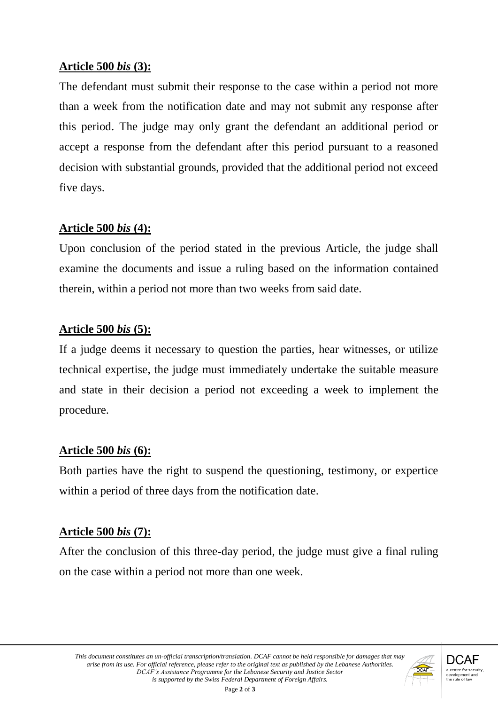#### **Article 500** *bis* **(3):**

The defendant must submit their response to the case within a period not more than a week from the notification date and may not submit any response after this period. The judge may only grant the defendant an additional period or accept a response from the defendant after this period pursuant to a reasoned decision with substantial grounds, provided that the additional period not exceed five days.

#### **Article 500** *bis* **(4):**

Upon conclusion of the period stated in the previous Article, the judge shall examine the documents and issue a ruling based on the information contained therein, within a period not more than two weeks from said date.

#### **Article 500** *bis* **(5):**

If a judge deems it necessary to question the parties, hear witnesses, or utilize technical expertise, the judge must immediately undertake the suitable measure and state in their decision a period not exceeding a week to implement the procedure.

#### **Article 500** *bis* **(6):**

Both parties have the right to suspend the questioning, testimony, or expertice within a period of three days from the notification date.

## **Article 500** *bis* **(7):**

After the conclusion of this three-day period, the judge must give a final ruling on the case within a period not more than one week.